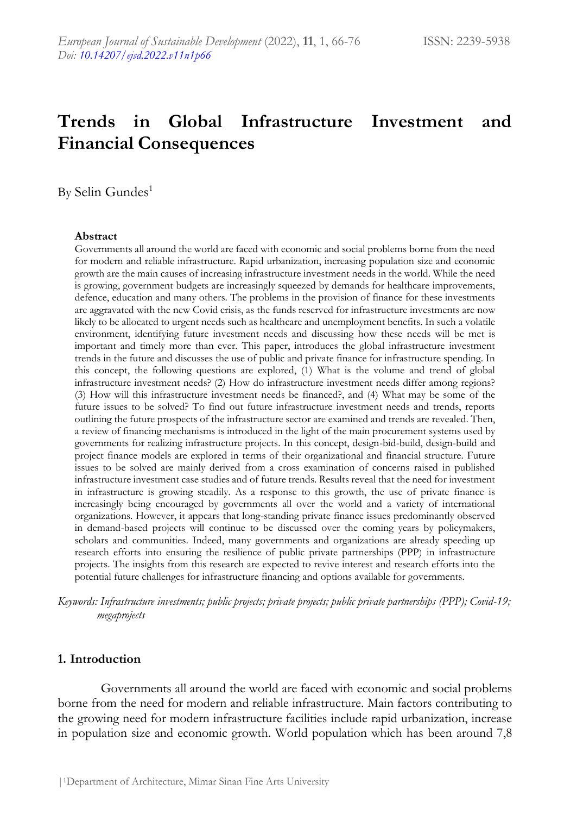# **Trends in Global Infrastructure Investment and Financial Consequences**

By Selin Gundes<sup>1</sup>

#### **Abstract**

Governments all around the world are faced with economic and social problems borne from the need for modern and reliable infrastructure. Rapid urbanization, increasing population size and economic growth are the main causes of increasing infrastructure investment needs in the world. While the need is growing, government budgets are increasingly squeezed by demands for healthcare improvements, defence, education and many others. The problems in the provision of finance for these investments are aggravated with the new Covid crisis, as the funds reserved for infrastructure investments are now likely to be allocated to urgent needs such as healthcare and unemployment benefits. In such a volatile environment, identifying future investment needs and discussing how these needs will be met is important and timely more than ever. This paper, introduces the global infrastructure investment trends in the future and discusses the use of public and private finance for infrastructure spending. In this concept, the following questions are explored, (1) What is the volume and trend of global infrastructure investment needs? (2) How do infrastructure investment needs differ among regions? (3) How will this infrastructure investment needs be financed?, and (4) What may be some of the future issues to be solved? To find out future infrastructure investment needs and trends, reports outlining the future prospects of the infrastructure sector are examined and trends are revealed. Then, a review of financing mechanisms is introduced in the light of the main procurement systems used by governments for realizing infrastructure projects. In this concept, design-bid-build, design-build and project finance models are explored in terms of their organizational and financial structure. Future issues to be solved are mainly derived from a cross examination of concerns raised in published infrastructure investment case studies and of future trends. Results reveal that the need for investment in infrastructure is growing steadily. As a response to this growth, the use of private finance is increasingly being encouraged by governments all over the world and a variety of international organizations. However, it appears that long-standing private finance issues predominantly observed in demand-based projects will continue to be discussed over the coming years by policymakers, scholars and communities. Indeed, many governments and organizations are already speeding up research efforts into ensuring the resilience of public private partnerships (PPP) in infrastructure projects. The insights from this research are expected to revive interest and research efforts into the potential future challenges for infrastructure financing and options available for governments.

*Keywords: Infrastructure investments; public projects; private projects; public private partnerships (PPP); Covid-19; megaprojects*

#### **1. Introduction**

Governments all around the world are faced with economic and social problems borne from the need for modern and reliable infrastructure. Main factors contributing to the growing need for modern infrastructure facilities include rapid urbanization, increase in population size and economic growth. World population which has been around 7,8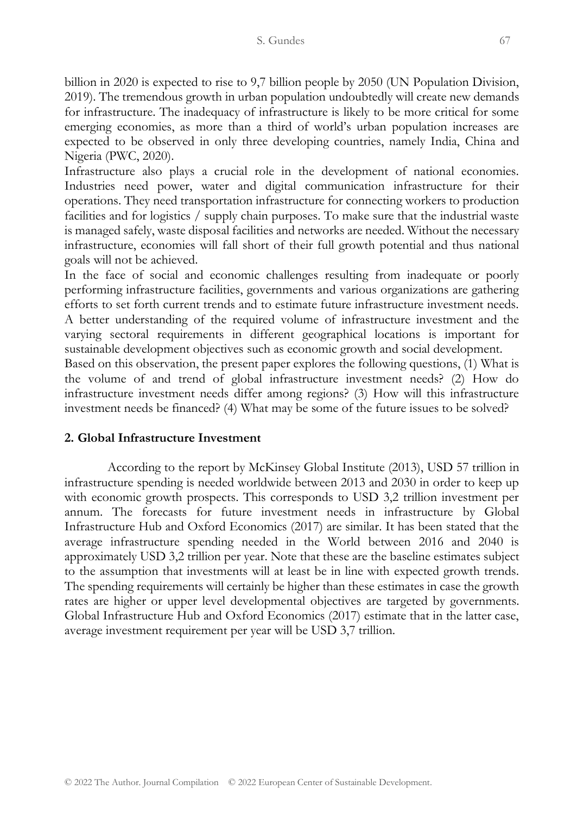billion in 2020 is expected to rise to 9,7 billion people by 2050 (UN Population Division, 2019). The tremendous growth in urban population undoubtedly will create new demands for infrastructure. The inadequacy of infrastructure is likely to be more critical for some emerging economies, as more than a third of world's urban population increases are expected to be observed in only three developing countries, namely India, China and Nigeria (PWC, 2020).

Infrastructure also plays a crucial role in the development of national economies. Industries need power, water and digital communication infrastructure for their operations. They need transportation infrastructure for connecting workers to production facilities and for logistics / supply chain purposes. To make sure that the industrial waste is managed safely, waste disposal facilities and networks are needed. Without the necessary infrastructure, economies will fall short of their full growth potential and thus national goals will not be achieved.

In the face of social and economic challenges resulting from inadequate or poorly performing infrastructure facilities, governments and various organizations are gathering efforts to set forth current trends and to estimate future infrastructure investment needs. A better understanding of the required volume of infrastructure investment and the varying sectoral requirements in different geographical locations is important for sustainable development objectives such as economic growth and social development.

Based on this observation, the present paper explores the following questions, (1) What is the volume of and trend of global infrastructure investment needs? (2) How do infrastructure investment needs differ among regions? (3) How will this infrastructure investment needs be financed? (4) What may be some of the future issues to be solved?

#### **2. Global Infrastructure Investment**

According to the report by McKinsey Global Institute (2013), USD 57 trillion in infrastructure spending is needed worldwide between 2013 and 2030 in order to keep up with economic growth prospects. This corresponds to USD 3,2 trillion investment per annum. The forecasts for future investment needs in infrastructure by Global Infrastructure Hub and Oxford Economics (2017) are similar. It has been stated that the average infrastructure spending needed in the World between 2016 and 2040 is approximately USD 3,2 trillion per year. Note that these are the baseline estimates subject to the assumption that investments will at least be in line with expected growth trends. The spending requirements will certainly be higher than these estimates in case the growth rates are higher or upper level developmental objectives are targeted by governments. Global Infrastructure Hub and Oxford Economics (2017) estimate that in the latter case, average investment requirement per year will be USD 3,7 trillion.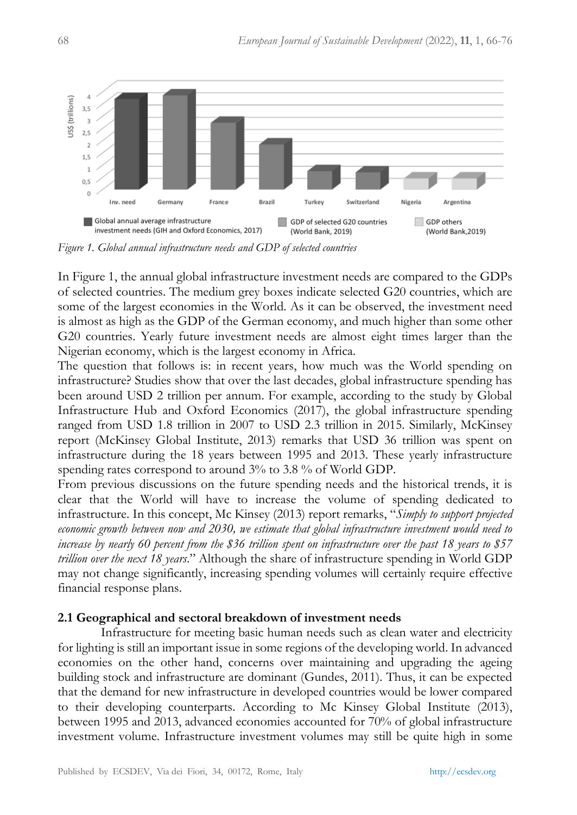

*Figure 1. Global annual infrastructure needs and GDP of selected countries*

In Figure 1, the annual global infrastructure investment needs are compared to the GDPs of selected countries. The medium grey boxes indicate selected G20 countries, which are some of the largest economies in the World. As it can be observed, the investment need is almost as high as the GDP of the German economy, and much higher than some other G20 countries. Yearly future investment needs are almost eight times larger than the Nigerian economy, which is the largest economy in Africa.

The question that follows is: in recent years, how much was the World spending on infrastructure? Studies show that over the last decades, global infrastructure spending has been around USD 2 trillion per annum. For example, according to the study by Global Infrastructure Hub and Oxford Economics (2017), the global infrastructure spending ranged from USD 1.8 trillion in 2007 to USD 2.3 trillion in 2015. Similarly, McKinsey report (McKinsey Global Institute, 2013) remarks that USD 36 trillion was spent on infrastructure during the 18 years between 1995 and 2013. These yearly infrastructure spending rates correspond to around 3% to 3.8 % of World GDP.

From previous discussions on the future spending needs and the historical trends, it is clear that the World will have to increase the volume of spending dedicated to infrastructure. In this concept, Mc Kinsey (2013) report remarks, "*Simply to support projected economic growth between now and 2030, we estimate that global infrastructure investment would need to increase by nearly 60 percent from the \$36 trillion spent on infrastructure over the past 18 years to \$57 trillion over the next 18 years*." Although the share of infrastructure spending in World GDP may not change significantly, increasing spending volumes will certainly require effective financial response plans.

### **2.1 Geographical and sectoral breakdown of investment needs**

Infrastructure for meeting basic human needs such as clean water and electricity for lighting is still an important issue in some regions of the developing world. In advanced economies on the other hand, concerns over maintaining and upgrading the ageing building stock and infrastructure are dominant (Gundes, 2011). Thus, it can be expected that the demand for new infrastructure in developed countries would be lower compared to their developing counterparts. According to Mc Kinsey Global Institute (2013), between 1995 and 2013, advanced economies accounted for 70% of global infrastructure investment volume. Infrastructure investment volumes may still be quite high in some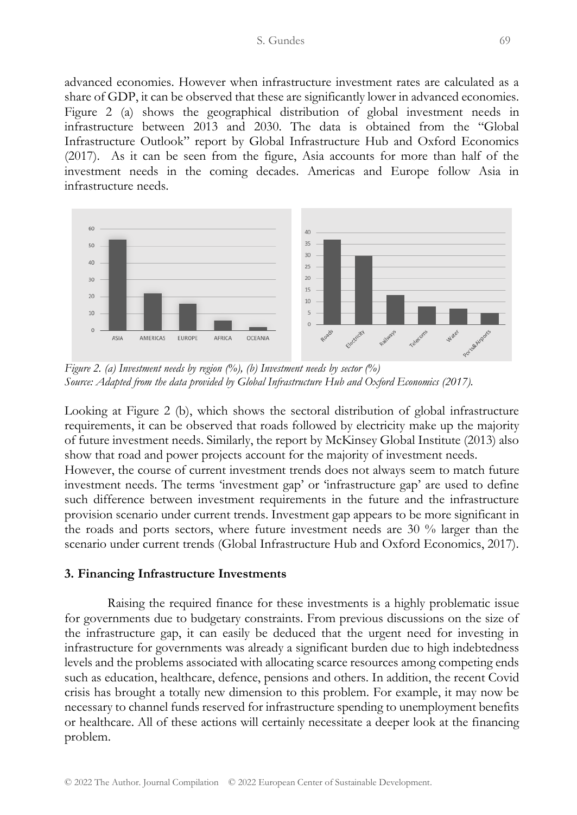advanced economies. However when infrastructure investment rates are calculated as a share of GDP, it can be observed that these are significantly lower in advanced economies. Figure 2 (a) shows the geographical distribution of global investment needs in infrastructure between 2013 and 2030. The data is obtained from the "Global Infrastructure Outlook" report by Global Infrastructure Hub and Oxford Economics (2017). As it can be seen from the figure, Asia accounts for more than half of the investment needs in the coming decades. Americas and Europe follow Asia in infrastructure needs.



*Figure 2. (a) Investment needs by region (%), (b) Investment needs by sector (%) Source: Adapted from the data provided by Global Infrastructure Hub and Oxford Economics (2017).* 

Looking at Figure 2 (b), which shows the sectoral distribution of global infrastructure requirements, it can be observed that roads followed by electricity make up the majority of future investment needs. Similarly, the report by McKinsey Global Institute (2013) also show that road and power projects account for the majority of investment needs.

However, the course of current investment trends does not always seem to match future investment needs. The terms 'investment gap' or 'infrastructure gap' are used to define such difference between investment requirements in the future and the infrastructure provision scenario under current trends. Investment gap appears to be more significant in the roads and ports sectors, where future investment needs are 30 % larger than the scenario under current trends (Global Infrastructure Hub and Oxford Economics, 2017).

### **3. Financing Infrastructure Investments**

Raising the required finance for these investments is a highly problematic issue for governments due to budgetary constraints. From previous discussions on the size of the infrastructure gap, it can easily be deduced that the urgent need for investing in infrastructure for governments was already a significant burden due to high indebtedness levels and the problems associated with allocating scarce resources among competing ends such as education, healthcare, defence, pensions and others. In addition, the recent Covid crisis has brought a totally new dimension to this problem. For example, it may now be necessary to channel funds reserved for infrastructure spending to unemployment benefits or healthcare. All of these actions will certainly necessitate a deeper look at the financing problem.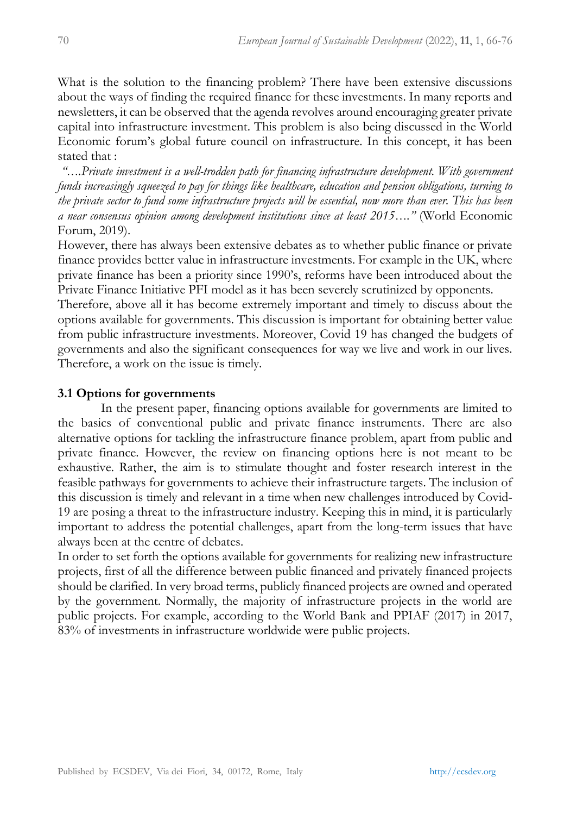What is the solution to the financing problem? There have been extensive discussions about the ways of finding the required finance for these investments. In many reports and newsletters, it can be observed that the agenda revolves around encouraging greater private capital into infrastructure investment. This problem is also being discussed in the World Economic forum's global future council on infrastructure. In this concept, it has been stated that :

*"*…*.Private investment is a well-trodden path for financing infrastructure development. With government funds increasingly squeezed to pay for things like healthcare, education and pension obligations, turning to the private sector to fund some infrastructure projects will be essential, now more than ever. This has been a near consensus opinion among development institutions since at least 2015*…*."* (World Economic Forum, 2019).

However, there has always been extensive debates as to whether public finance or private finance provides better value in infrastructure investments. For example in the UK, where private finance has been a priority since 1990's, reforms have been introduced about the Private Finance Initiative PFI model as it has been severely scrutinized by opponents.

Therefore, above all it has become extremely important and timely to discuss about the options available for governments. This discussion is important for obtaining better value from public infrastructure investments. Moreover, Covid 19 has changed the budgets of governments and also the significant consequences for way we live and work in our lives. Therefore, a work on the issue is timely.

# **3.1 Options for governments**

In the present paper, financing options available for governments are limited to the basics of conventional public and private finance instruments. There are also alternative options for tackling the infrastructure finance problem, apart from public and private finance. However, the review on financing options here is not meant to be exhaustive. Rather, the aim is to stimulate thought and foster research interest in the feasible pathways for governments to achieve their infrastructure targets. The inclusion of this discussion is timely and relevant in a time when new challenges introduced by Covid-19 are posing a threat to the infrastructure industry. Keeping this in mind, it is particularly important to address the potential challenges, apart from the long-term issues that have always been at the centre of debates.

In order to set forth the options available for governments for realizing new infrastructure projects, first of all the difference between public financed and privately financed projects should be clarified. In very broad terms, publicly financed projects are owned and operated by the government. Normally, the majority of infrastructure projects in the world are public projects. For example, according to the World Bank and PPIAF (2017) in 2017, 83% of investments in infrastructure worldwide were public projects.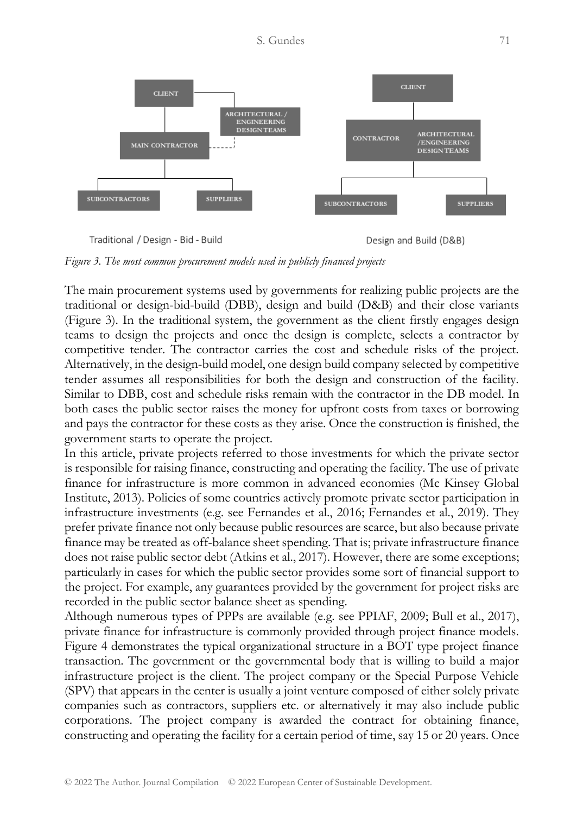

*Figure 3. The most common procurement models used in publicly financed projects*

The main procurement systems used by governments for realizing public projects are the traditional or design-bid-build (DBB), design and build (D&B) and their close variants (Figure 3). In the traditional system, the government as the client firstly engages design teams to design the projects and once the design is complete, selects a contractor by competitive tender. The contractor carries the cost and schedule risks of the project. Alternatively, in the design-build model, one design build company selected by competitive tender assumes all responsibilities for both the design and construction of the facility. Similar to DBB, cost and schedule risks remain with the contractor in the DB model. In both cases the public sector raises the money for upfront costs from taxes or borrowing and pays the contractor for these costs as they arise. Once the construction is finished, the government starts to operate the project.

In this article, private projects referred to those investments for which the private sector is responsible for raising finance, constructing and operating the facility. The use of private finance for infrastructure is more common in advanced economies (Mc Kinsey Global Institute, 2013). Policies of some countries actively promote private sector participation in infrastructure investments (e.g. see Fernandes et al., 2016; Fernandes et al., 2019). They prefer private finance not only because public resources are scarce, but also because private finance may be treated as off-balance sheet spending. That is; private infrastructure finance does not raise public sector debt (Atkins et al., 2017). However, there are some exceptions; particularly in cases for which the public sector provides some sort of financial support to the project. For example, any guarantees provided by the government for project risks are recorded in the public sector balance sheet as spending.

Although numerous types of PPPs are available (e.g. see PPIAF, 2009; Bull et al., 2017), private finance for infrastructure is commonly provided through project finance models. Figure 4 demonstrates the typical organizational structure in a BOT type project finance transaction. The government or the governmental body that is willing to build a major infrastructure project is the client. The project company or the Special Purpose Vehicle (SPV) that appears in the center is usually a joint venture composed of either solely private companies such as contractors, suppliers etc. or alternatively it may also include public corporations. The project company is awarded the contract for obtaining finance, constructing and operating the facility for a certain period of time, say 15 or 20 years. Once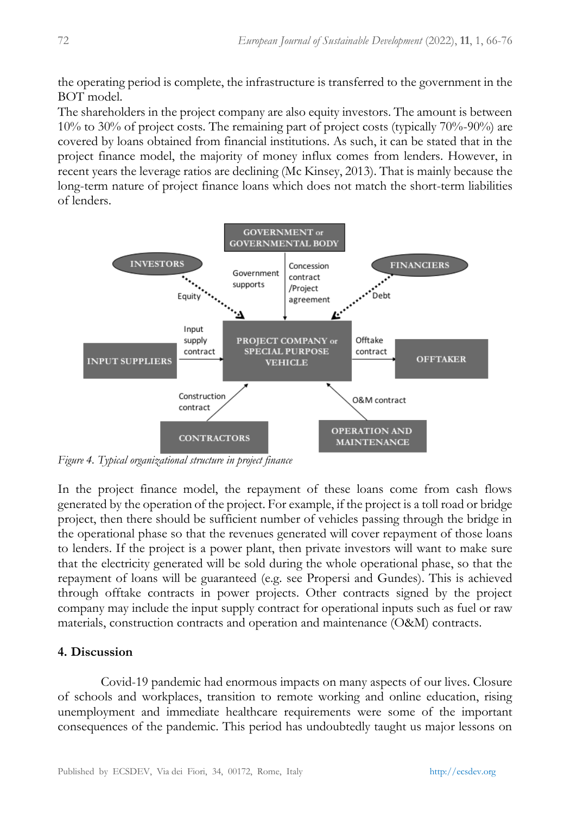the operating period is complete, the infrastructure is transferred to the government in the BOT model.

The shareholders in the project company are also equity investors. The amount is between 10% to 30% of project costs. The remaining part of project costs (typically 70%-90%) are covered by loans obtained from financial institutions. As such, it can be stated that in the project finance model, the majority of money influx comes from lenders. However, in recent years the leverage ratios are declining (Mc Kinsey, 2013). That is mainly because the long-term nature of project finance loans which does not match the short-term liabilities of lenders.



*Figure 4. Typical organizational structure in project finance*

In the project finance model, the repayment of these loans come from cash flows generated by the operation of the project. For example, if the project is a toll road or bridge project, then there should be sufficient number of vehicles passing through the bridge in the operational phase so that the revenues generated will cover repayment of those loans to lenders. If the project is a power plant, then private investors will want to make sure that the electricity generated will be sold during the whole operational phase, so that the repayment of loans will be guaranteed (e.g. see Propersi and Gundes). This is achieved through offtake contracts in power projects. Other contracts signed by the project company may include the input supply contract for operational inputs such as fuel or raw materials, construction contracts and operation and maintenance (O&M) contracts.

# **4. Discussion**

Covid-19 pandemic had enormous impacts on many aspects of our lives. Closure of schools and workplaces, transition to remote working and online education, rising unemployment and immediate healthcare requirements were some of the important consequences of the pandemic. This period has undoubtedly taught us major lessons on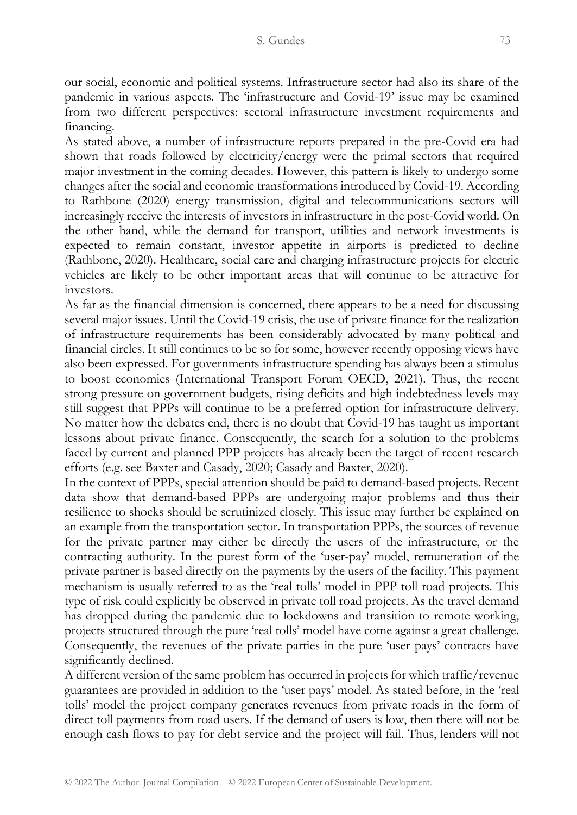our social, economic and political systems. Infrastructure sector had also its share of the pandemic in various aspects. The 'infrastructure and Covid-19' issue may be examined from two different perspectives: sectoral infrastructure investment requirements and financing.

As stated above, a number of infrastructure reports prepared in the pre-Covid era had shown that roads followed by electricity/energy were the primal sectors that required major investment in the coming decades. However, this pattern is likely to undergo some changes after the social and economic transformations introduced by Covid-19. According to Rathbone (2020) energy transmission, digital and telecommunications sectors will increasingly receive the interests of investors in infrastructure in the post-Covid world. On the other hand, while the demand for transport, utilities and network investments is expected to remain constant, investor appetite in airports is predicted to decline (Rathbone, 2020). Healthcare, social care and charging infrastructure projects for electric vehicles are likely to be other important areas that will continue to be attractive for investors.

As far as the financial dimension is concerned, there appears to be a need for discussing several major issues. Until the Covid-19 crisis, the use of private finance for the realization of infrastructure requirements has been considerably advocated by many political and financial circles. It still continues to be so for some, however recently opposing views have also been expressed. For governments infrastructure spending has always been a stimulus to boost economies (International Transport Forum OECD, 2021). Thus, the recent strong pressure on government budgets, rising deficits and high indebtedness levels may still suggest that PPPs will continue to be a preferred option for infrastructure delivery. No matter how the debates end, there is no doubt that Covid-19 has taught us important lessons about private finance. Consequently, the search for a solution to the problems faced by current and planned PPP projects has already been the target of recent research efforts (e.g. see Baxter and Casady, 2020; Casady and Baxter, 2020).

In the context of PPPs, special attention should be paid to demand-based projects. Recent data show that demand-based PPPs are undergoing major problems and thus their resilience to shocks should be scrutinized closely. This issue may further be explained on an example from the transportation sector. In transportation PPPs, the sources of revenue for the private partner may either be directly the users of the infrastructure, or the contracting authority. In the purest form of the 'user-pay' model, remuneration of the private partner is based directly on the payments by the users of the facility. This payment mechanism is usually referred to as the 'real tolls' model in PPP toll road projects. This type of risk could explicitly be observed in private toll road projects. As the travel demand has dropped during the pandemic due to lockdowns and transition to remote working, projects structured through the pure 'real tolls' model have come against a great challenge. Consequently, the revenues of the private parties in the pure 'user pays' contracts have significantly declined.

A different version of the same problem has occurred in projects for which traffic/revenue guarantees are provided in addition to the 'user pays' model. As stated before, in the 'real tolls' model the project company generates revenues from private roads in the form of direct toll payments from road users. If the demand of users is low, then there will not be enough cash flows to pay for debt service and the project will fail. Thus, lenders will not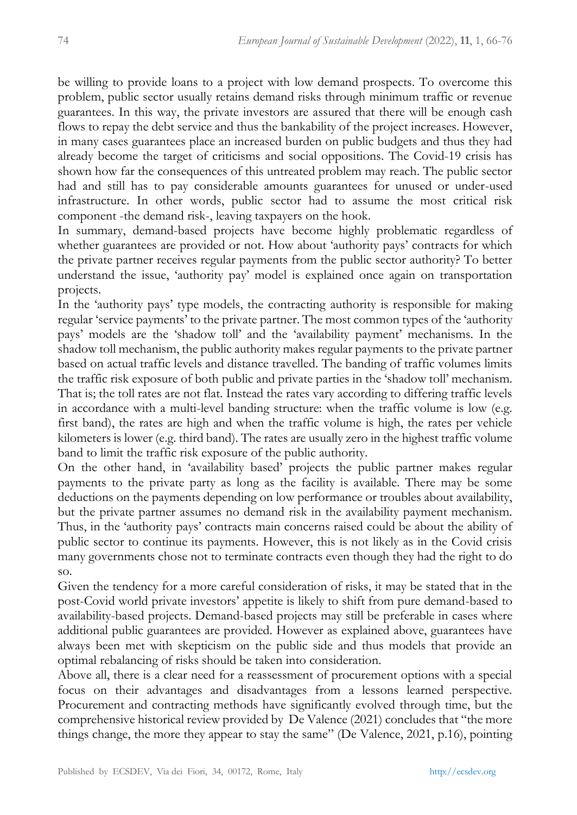be willing to provide loans to a project with low demand prospects. To overcome this problem, public sector usually retains demand risks through minimum traffic or revenue guarantees. In this way, the private investors are assured that there will be enough cash flows to repay the debt service and thus the bankability of the project increases. However, in many cases guarantees place an increased burden on public budgets and thus they had already become the target of criticisms and social oppositions. The Covid-19 crisis has shown how far the consequences of this untreated problem may reach. The public sector had and still has to pay considerable amounts guarantees for unused or under-used infrastructure. In other words, public sector had to assume the most critical risk component -the demand risk-, leaving taxpayers on the hook.

In summary, demand-based projects have become highly problematic regardless of whether guarantees are provided or not. How about 'authority pays' contracts for which the private partner receives regular payments from the public sector authority? To better understand the issue, 'authority pay' model is explained once again on transportation projects.

In the 'authority pays' type models, the contracting authority is responsible for making regular 'service payments' to the private partner. The most common types of the 'authority pays' models are the 'shadow toll' and the 'availability payment' mechanisms. In the shadow toll mechanism, the public authority makes regular payments to the private partner based on actual traffic levels and distance travelled. The banding of traffic volumes limits the traffic risk exposure of both public and private parties in the 'shadow toll' mechanism. That is; the toll rates are not flat. Instead the rates vary according to differing traffic levels in accordance with a multi-level banding structure: when the traffic volume is low (e.g. first band), the rates are high and when the traffic volume is high, the rates per vehicle kilometers is lower (e.g. third band). The rates are usually zero in the highest traffic volume band to limit the traffic risk exposure of the public authority.

On the other hand, in 'availability based' projects the public partner makes regular payments to the private party as long as the facility is available. There may be some deductions on the payments depending on low performance or troubles about availability, but the private partner assumes no demand risk in the availability payment mechanism. Thus, in the 'authority pays' contracts main concerns raised could be about the ability of public sector to continue its payments. However, this is not likely as in the Covid crisis many governments chose not to terminate contracts even though they had the right to do so.

Given the tendency for a more careful consideration of risks, it may be stated that in the post-Covid world private investors' appetite is likely to shift from pure demand-based to availability-based projects. Demand-based projects may still be preferable in cases where additional public guarantees are provided. However as explained above, guarantees have always been met with skepticism on the public side and thus models that provide an optimal rebalancing of risks should be taken into consideration.

Above all, there is a clear need for a reassessment of procurement options with a special focus on their advantages and disadvantages from a lessons learned perspective. Procurement and contracting methods have significantly evolved through time, but the comprehensive historical review provided by De Valence (2021) concludes that "the more things change, the more they appear to stay the same" (De Valence, 2021, p.16), pointing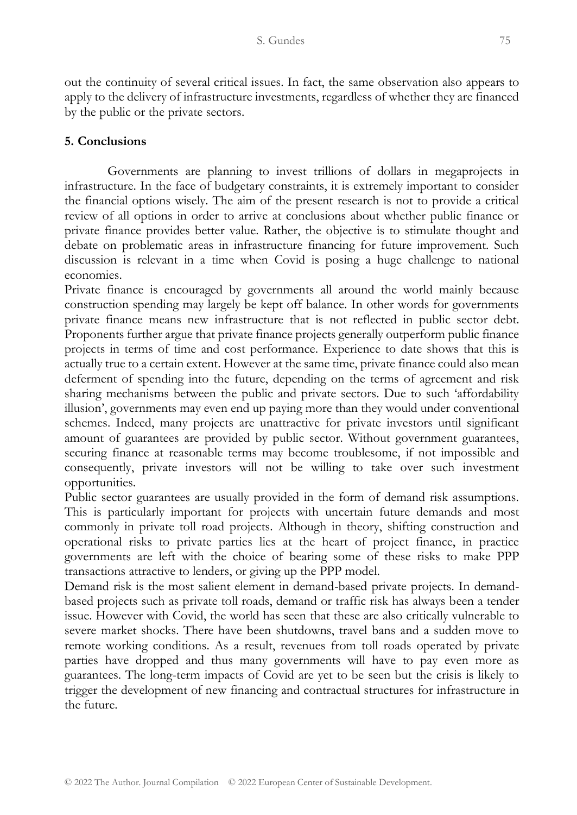out the continuity of several critical issues. In fact, the same observation also appears to apply to the delivery of infrastructure investments, regardless of whether they are financed by the public or the private sectors.

# **5. Conclusions**

Governments are planning to invest trillions of dollars in megaprojects in infrastructure. In the face of budgetary constraints, it is extremely important to consider the financial options wisely. The aim of the present research is not to provide a critical review of all options in order to arrive at conclusions about whether public finance or private finance provides better value. Rather, the objective is to stimulate thought and debate on problematic areas in infrastructure financing for future improvement. Such discussion is relevant in a time when Covid is posing a huge challenge to national economies.

Private finance is encouraged by governments all around the world mainly because construction spending may largely be kept off balance. In other words for governments private finance means new infrastructure that is not reflected in public sector debt. Proponents further argue that private finance projects generally outperform public finance projects in terms of time and cost performance. Experience to date shows that this is actually true to a certain extent. However at the same time, private finance could also mean deferment of spending into the future, depending on the terms of agreement and risk sharing mechanisms between the public and private sectors. Due to such 'affordability illusion', governments may even end up paying more than they would under conventional schemes. Indeed, many projects are unattractive for private investors until significant amount of guarantees are provided by public sector. Without government guarantees, securing finance at reasonable terms may become troublesome, if not impossible and consequently, private investors will not be willing to take over such investment opportunities.

Public sector guarantees are usually provided in the form of demand risk assumptions. This is particularly important for projects with uncertain future demands and most commonly in private toll road projects. Although in theory, shifting construction and operational risks to private parties lies at the heart of project finance, in practice governments are left with the choice of bearing some of these risks to make PPP transactions attractive to lenders, or giving up the PPP model.

Demand risk is the most salient element in demand-based private projects. In demandbased projects such as private toll roads, demand or traffic risk has always been a tender issue. However with Covid, the world has seen that these are also critically vulnerable to severe market shocks. There have been shutdowns, travel bans and a sudden move to remote working conditions. As a result, revenues from toll roads operated by private parties have dropped and thus many governments will have to pay even more as guarantees. The long-term impacts of Covid are yet to be seen but the crisis is likely to trigger the development of new financing and contractual structures for infrastructure in the future.